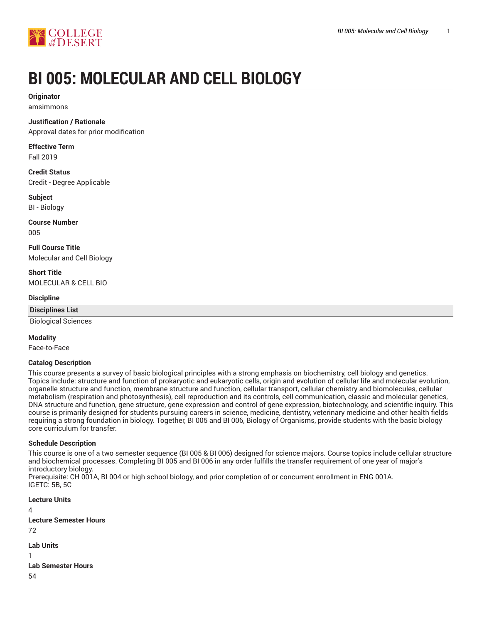

# **BI 005: MOLECULAR AND CELL BIOLOGY**

#### **Originator** amsimmons

## **Justification / Rationale**

Approval dates for prior modification

**Effective Term** Fall 2019

**Credit Status** Credit - Degree Applicable

**Subject** BI - Biology

**Course Number** 005

**Full Course Title** Molecular and Cell Biology

**Short Title** MOLECULAR & CELL BIO

## **Discipline**

**Disciplines List**

Biological Sciences

## **Modality**

Face-to-Face

#### **Catalog Description**

This course presents a survey of basic biological principles with a strong emphasis on biochemistry, cell biology and genetics. Topics include: structure and function of prokaryotic and eukaryotic cells, origin and evolution of cellular life and molecular evolution, organelle structure and function, membrane structure and function, cellular transport, cellular chemistry and biomolecules, cellular metabolism (respiration and photosynthesis), cell reproduction and its controls, cell communication, classic and molecular genetics, DNA structure and function, gene structure, gene expression and control of gene expression, biotechnology, and scientific inquiry. This course is primarily designed for students pursuing careers in science, medicine, dentistry, veterinary medicine and other health fields requiring a strong foundation in biology. Together, BI 005 and BI 006, Biology of Organisms, provide students with the basic biology core curriculum for transfer.

#### **Schedule Description**

This course is one of a two semester sequence (BI 005 & BI 006) designed for science majors. Course topics include cellular structure and biochemical processes. Completing BI 005 and BI 006 in any order fulfills the transfer requirement of one year of major's introductory biology.

Prerequisite: CH 001A, BI 004 or high school biology, and prior completion of or concurrent enrollment in ENG 001A. IGETC: 5B, 5C

**Lecture Units** 4 **Lecture Semester Hours** 72 **Lab Units** 1

**Lab Semester Hours**

54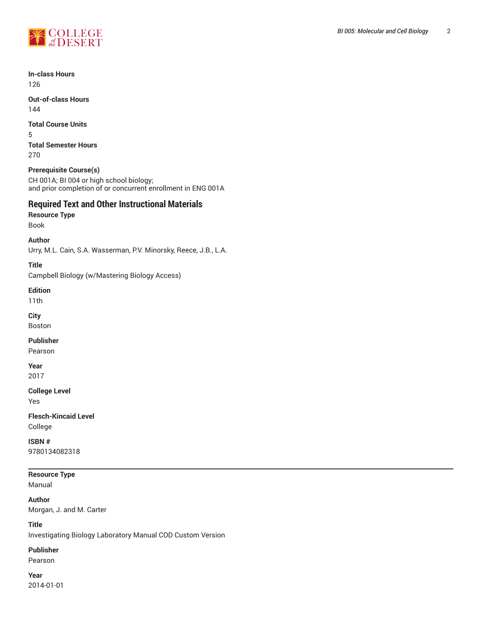

**In-class Hours** 126

**Out-of-class Hours** 144

**Total Course Units**

5 **Total Semester Hours** 270

## **Prerequisite Course(s)**

CH 001A; BI 004 or high school biology; and prior completion of or concurrent enrollment in ENG 001A

# **Required Text and Other Instructional Materials**

**Resource Type** Book

**Author**

Urry, M.L. Cain, S.A. Wasserman, P.V. Minorsky, Reece, J.B., L.A.

## **Title**

Campbell Biology (w/Mastering Biology Access)

**Edition**

11th

**City**

Boston

**Publisher**

Pearson

**Year** 2017

**College Level**

Yes

**Flesch-Kincaid Level** College

**ISBN #** 9780134082318

**Resource Type** Manual

**Author** Morgan, J. and M. Carter

**Title** Investigating Biology Laboratory Manual COD Custom Version

**Publisher**

Pearson

**Year** 2014-01-01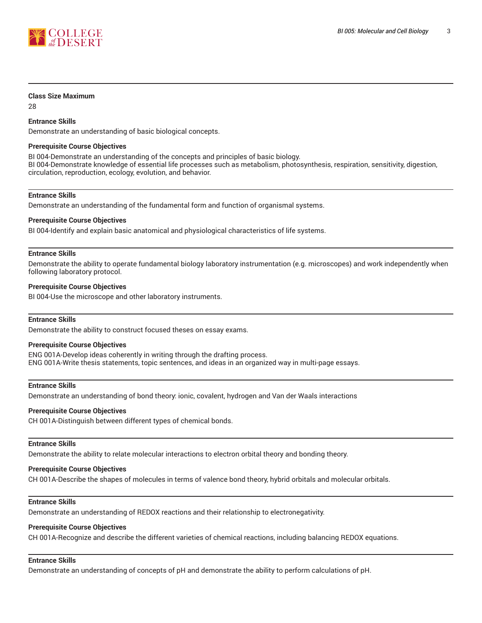

#### **Class Size Maximum**

28

### **Entrance Skills**

Demonstrate an understanding of basic biological concepts.

#### **Prerequisite Course Objectives**

BI 004-Demonstrate an understanding of the concepts and principles of basic biology. BI 004-Demonstrate knowledge of essential life processes such as metabolism, photosynthesis, respiration, sensitivity, digestion, circulation, reproduction, ecology, evolution, and behavior.

#### **Entrance Skills**

Demonstrate an understanding of the fundamental form and function of organismal systems.

#### **Prerequisite Course Objectives**

BI 004-Identify and explain basic anatomical and physiological characteristics of life systems.

#### **Entrance Skills**

Demonstrate the ability to operate fundamental biology laboratory instrumentation (e.g. microscopes) and work independently when following laboratory protocol.

#### **Prerequisite Course Objectives**

BI 004-Use the microscope and other laboratory instruments.

#### **Entrance Skills**

Demonstrate the ability to construct focused theses on essay exams.

#### **Prerequisite Course Objectives**

ENG 001A-Develop ideas coherently in writing through the drafting process. ENG 001A-Write thesis statements, topic sentences, and ideas in an organized way in multi-page essays.

#### **Entrance Skills**

Demonstrate an understanding of bond theory: ionic, covalent, hydrogen and Van der Waals interactions

#### **Prerequisite Course Objectives**

CH 001A-Distinguish between different types of chemical bonds.

#### **Entrance Skills**

Demonstrate the ability to relate molecular interactions to electron orbital theory and bonding theory.

## **Prerequisite Course Objectives**

CH 001A-Describe the shapes of molecules in terms of valence bond theory, hybrid orbitals and molecular orbitals.

## **Entrance Skills**

Demonstrate an understanding of REDOX reactions and their relationship to electronegativity.

# **Prerequisite Course Objectives**

CH 001A-Recognize and describe the different varieties of chemical reactions, including balancing REDOX equations.

# **Entrance Skills**

Demonstrate an understanding of concepts of pH and demonstrate the ability to perform calculations of pH.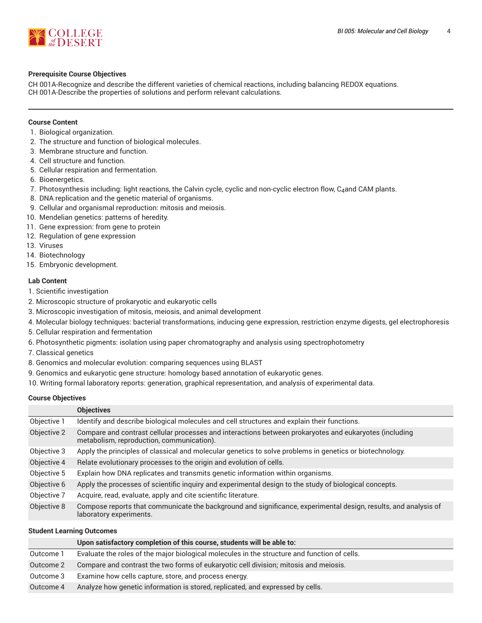

## **Prerequisite Course Objectives**

CH 001A-Recognize and describe the different varieties of chemical reactions, including balancing REDOX equations. CH 001A-Describe the properties of solutions and perform relevant calculations.

## **Course Content**

- 1. Biological organization.
- 2. The structure and function of biological molecules.
- 3. Membrane structure and function.
- 4. Cell structure and function.
- 5. Cellular respiration and fermentation.
- 6. Bioenergetics.
- 7. Photosynthesis including: light reactions, the Calvin cycle, cyclic and non-cyclic electron flow, C<sub>4</sub>and CAM plants.
- 8. DNA replication and the genetic material of organisms.
- 9. Cellular and organismal reproduction: mitosis and meiosis.
- 10. Mendelian genetics: patterns of heredity.
- 11. Gene expression: from gene to protein
- 12. Regulation of gene expression
- 13. Viruses
- 14. Biotechnology
- 15. Embryonic development.

## **Lab Content**

- 1. Scientific investigation
- 2. Microscopic structure of prokaryotic and eukaryotic cells
- 3. Microscopic investigation of mitosis, meiosis, and animal development
- 4. Molecular biology techniques: bacterial transformations, inducing gene expression, restriction enzyme digests, gel electrophoresis
- 5. Cellular respiration and fermentation
- 6. Photosynthetic pigments: isolation using paper chromatography and analysis using spectrophotometry
- 7. Classical genetics
- 8. Genomics and molecular evolution: comparing sequences using BLAST
- 9. Genomics and eukaryotic gene structure: homology based annotation of eukaryotic genes.
- 10. Writing formal laboratory reports: generation, graphical representation, and analysis of experimental data.

## **Course Objectives**

|             | <b>Objectives</b>                                                                                                                                   |
|-------------|-----------------------------------------------------------------------------------------------------------------------------------------------------|
| Objective 1 | Identify and describe biological molecules and cell structures and explain their functions.                                                         |
| Objective 2 | Compare and contrast cellular processes and interactions between prokaryotes and eukaryotes (including<br>metabolism, reproduction, communication). |
| Objective 3 | Apply the principles of classical and molecular genetics to solve problems in genetics or biotechnology.                                            |
| Objective 4 | Relate evolutionary processes to the origin and evolution of cells.                                                                                 |
| Objective 5 | Explain how DNA replicates and transmits genetic information within organisms.                                                                      |
| Objective 6 | Apply the processes of scientific inquiry and experimental design to the study of biological concepts.                                              |
| Objective 7 | Acquire, read, evaluate, apply and cite scientific literature.                                                                                      |
| Objective 8 | Compose reports that communicate the background and significance, experimental design, results, and analysis of<br>laboratory experiments.          |

## **Student Learning Outcomes**

|           | Upon satisfactory completion of this course, students will be able to:                       |
|-----------|----------------------------------------------------------------------------------------------|
| Outcome 1 | Evaluate the roles of the major biological molecules in the structure and function of cells. |
| Outcome 2 | Compare and contrast the two forms of eukaryotic cell division; mitosis and meiosis.         |
| Outcome 3 | Examine how cells capture, store, and process energy.                                        |
| Outcome 4 | Analyze how genetic information is stored, replicated, and expressed by cells.               |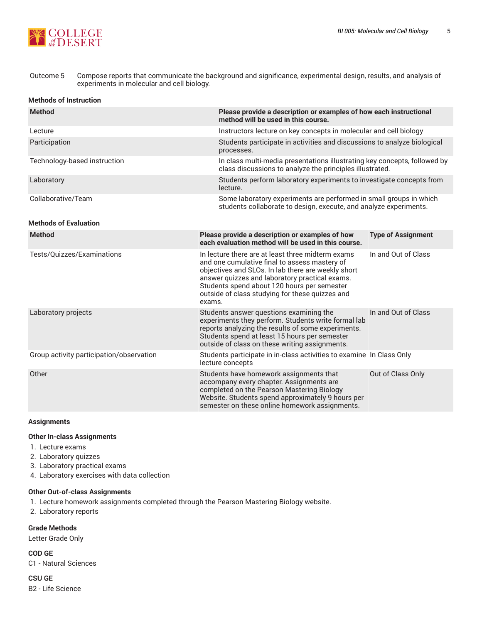

## Outcome 5 Compose reports that communicate the background and significance, experimental design, results, and analysis of experiments in molecular and cell biology.

#### **Methods of Instruction**

| <b>Method</b>                            | Please provide a description or examples of how each instructional<br>method will be used in this course.                                                                                                                                                                                                              |                                                                                                                                         |  |  |  |
|------------------------------------------|------------------------------------------------------------------------------------------------------------------------------------------------------------------------------------------------------------------------------------------------------------------------------------------------------------------------|-----------------------------------------------------------------------------------------------------------------------------------------|--|--|--|
| Lecture                                  |                                                                                                                                                                                                                                                                                                                        | Instructors lecture on key concepts in molecular and cell biology                                                                       |  |  |  |
| Participation                            | processes.                                                                                                                                                                                                                                                                                                             | Students participate in activities and discussions to analyze biological                                                                |  |  |  |
| Technology-based instruction             |                                                                                                                                                                                                                                                                                                                        | In class multi-media presentations illustrating key concepts, followed by<br>class discussions to analyze the principles illustrated.   |  |  |  |
| Laboratory                               | Students perform laboratory experiments to investigate concepts from<br>lecture.                                                                                                                                                                                                                                       |                                                                                                                                         |  |  |  |
| Collaborative/Team                       |                                                                                                                                                                                                                                                                                                                        | Some laboratory experiments are performed in small groups in which<br>students collaborate to design, execute, and analyze experiments. |  |  |  |
| <b>Methods of Evaluation</b>             |                                                                                                                                                                                                                                                                                                                        |                                                                                                                                         |  |  |  |
| <b>Method</b>                            | Please provide a description or examples of how<br>each evaluation method will be used in this course.                                                                                                                                                                                                                 | <b>Type of Assignment</b>                                                                                                               |  |  |  |
| Tests/Quizzes/Examinations               | In lecture there are at least three midterm exams<br>and one cumulative final to assess mastery of<br>objectives and SLOs. In lab there are weekly short<br>answer quizzes and laboratory practical exams.<br>Students spend about 120 hours per semester<br>outside of class studying for these quizzes and<br>exams. | In and Out of Class                                                                                                                     |  |  |  |
| Laboratory projects                      | Students answer questions examining the<br>experiments they perform. Students write formal lab<br>reports analyzing the results of some experiments.<br>Students spend at least 15 hours per semester<br>outside of class on these writing assignments.                                                                | In and Out of Class                                                                                                                     |  |  |  |
| Group activity participation/observation | Students participate in in-class activities to examine In Class Only<br>lecture concepts                                                                                                                                                                                                                               |                                                                                                                                         |  |  |  |
| Other                                    | Students have homework assignments that<br>accompany every chapter. Assignments are<br>completed on the Pearson Mastering Biology<br>Website. Students spend approximately 9 hours per<br>semester on these online homework assignments.                                                                               | Out of Class Only                                                                                                                       |  |  |  |

#### **Assignments**

## **Other In-class Assignments**

- 1. Lecture exams
- 2. Laboratory quizzes
- 3. Laboratory practical exams
- 4. Laboratory exercises with data collection

#### **Other Out-of-class Assignments**

- 1. Lecture homework assignments completed through the Pearson Mastering Biology website.
- 2. Laboratory reports

**Grade Methods**

Letter Grade Only

**COD GE** C1 - Natural Sciences

**CSU GE**

B2 - Life Science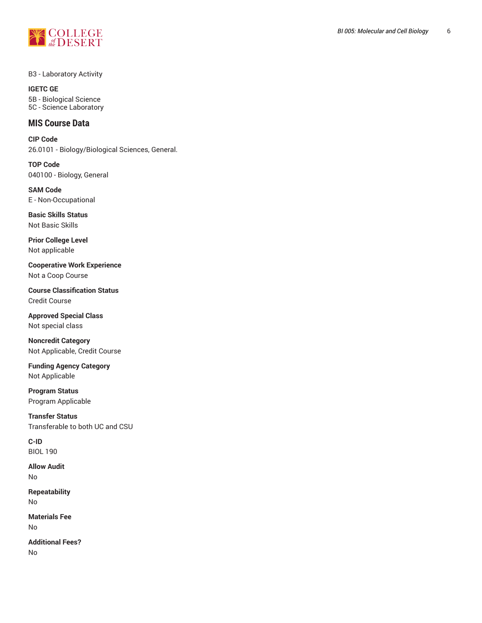

B3 - Laboratory Activity

**IGETC GE** 5B - Biological Science 5C - Science Laboratory

# **MIS Course Data**

**CIP Code** 26.0101 - Biology/Biological Sciences, General.

**TOP Code** 040100 - Biology, General

**SAM Code** E - Non-Occupational

**Basic Skills Status** Not Basic Skills

**Prior College Level** Not applicable

**Cooperative Work Experience** Not a Coop Course

**Course Classification Status** Credit Course

**Approved Special Class** Not special class

**Noncredit Category** Not Applicable, Credit Course

**Funding Agency Category** Not Applicable

**Program Status** Program Applicable

**Transfer Status** Transferable to both UC and CSU

**C-ID** BIOL 190

**Allow Audit** No

**Repeatability** No

**Materials Fee** No

**Additional Fees?** No